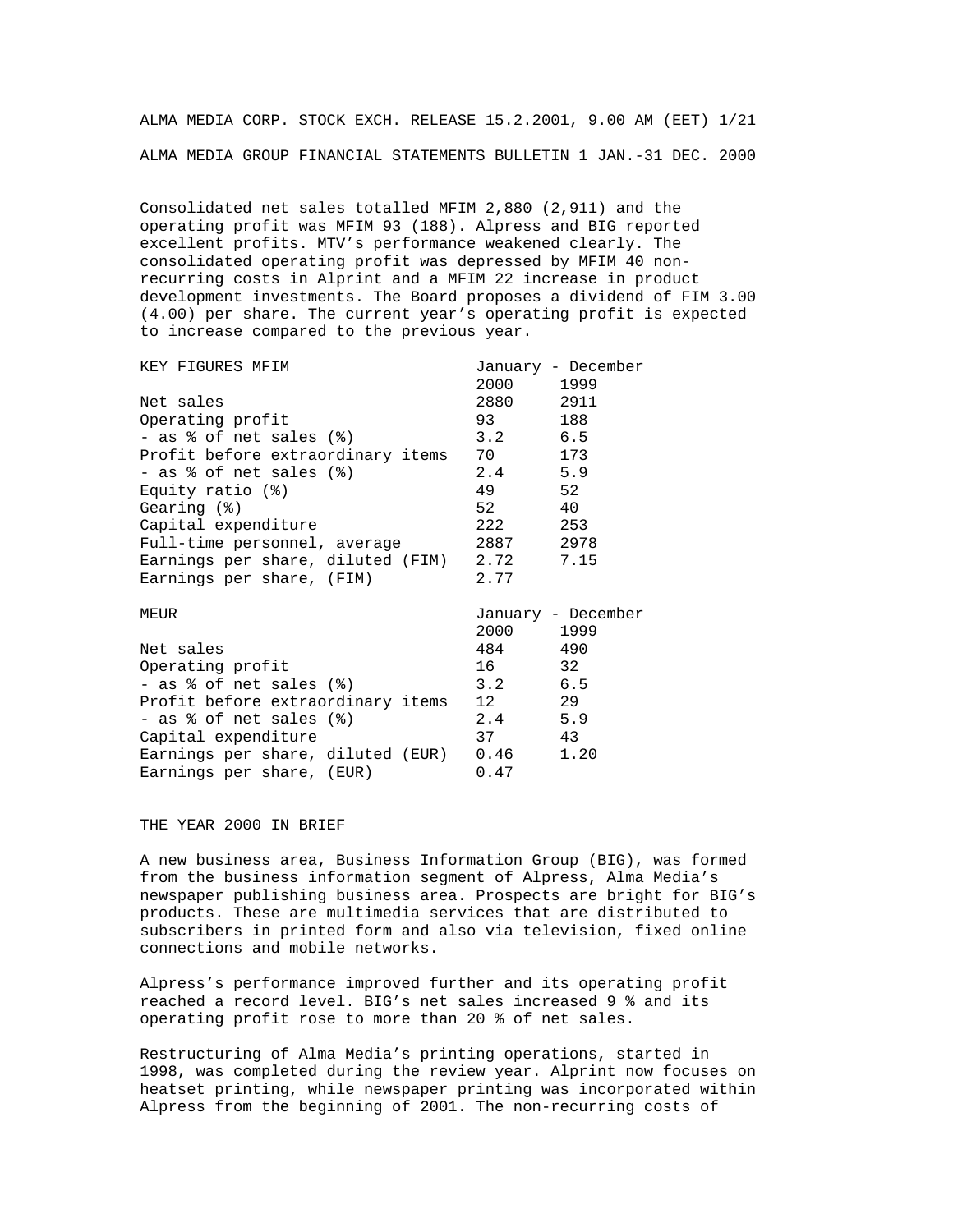ALMA MEDIA CORP. STOCK EXCH. RELEASE 15.2.2001, 9.00 AM (EET) 1/21 ALMA MEDIA GROUP FINANCIAL STATEMENTS BULLETIN 1 JAN.-31 DEC. 2000

Consolidated net sales totalled MFIM 2,880 (2,911) and the operating profit was MFIM 93 (188). Alpress and BIG reported excellent profits. MTV's performance weakened clearly. The consolidated operating profit was depressed by MFIM 40 nonrecurring costs in Alprint and a MFIM 22 increase in product development investments. The Board proposes a dividend of FIM 3.00 (4.00) per share. The current year's operating profit is expected to increase compared to the previous year.

| KEY FIGURES MFIM                                |           | January - December |
|-------------------------------------------------|-----------|--------------------|
|                                                 | 2000 1999 |                    |
| Net sales                                       | 2880 2911 |                    |
| Operating profit                                | 93        | 188                |
| - as % of net sales (%)                         | $3.2$ 6.5 |                    |
| Profit before extraordinary items 70 173        |           |                    |
| - as % of net sales (%)                         | $2.4$ 5.9 |                    |
| Equity ratio $(\mathcal{E})$                    | 49 52     |                    |
| Gearing $(8)$                                   | 52 40     |                    |
| Capital expenditure                             | 222 253   |                    |
| Full-time personnel, average                    | 2887 2978 |                    |
| Earnings per share, diluted (FIM) 2.72 7.15     |           |                    |
| Earnings per share, (FIM) 2.77                  |           |                    |
| MEUR                                            |           | January - December |
|                                                 | 2000 1999 |                    |
| Net sales                                       | 484 490   |                    |
| Operating profit                                | 16 32     |                    |
| - as $\textdegree$ of net sales $(\textdegree)$ | $3.2$ 6.5 |                    |
| Profit before extraordinary items 12 29         |           |                    |
| - as % of net sales (%)                         | $2.4$ 5.9 |                    |
| Capital expenditure                             | 37 43     |                    |
| Earnings per share, diluted (EUR) 0.46 1.20     |           |                    |
| Earnings per share, (EUR)<br>0.47               |           |                    |

## THE YEAR 2000 IN BRIEF

A new business area, Business Information Group (BIG), was formed from the business information segment of Alpress, Alma Media's newspaper publishing business area. Prospects are bright for BIG's products. These are multimedia services that are distributed to subscribers in printed form and also via television, fixed online connections and mobile networks.

Alpress's performance improved further and its operating profit reached a record level. BIG's net sales increased 9 % and its operating profit rose to more than 20 % of net sales.

Restructuring of Alma Media's printing operations, started in 1998, was completed during the review year. Alprint now focuses on heatset printing, while newspaper printing was incorporated within Alpress from the beginning of 2001. The non-recurring costs of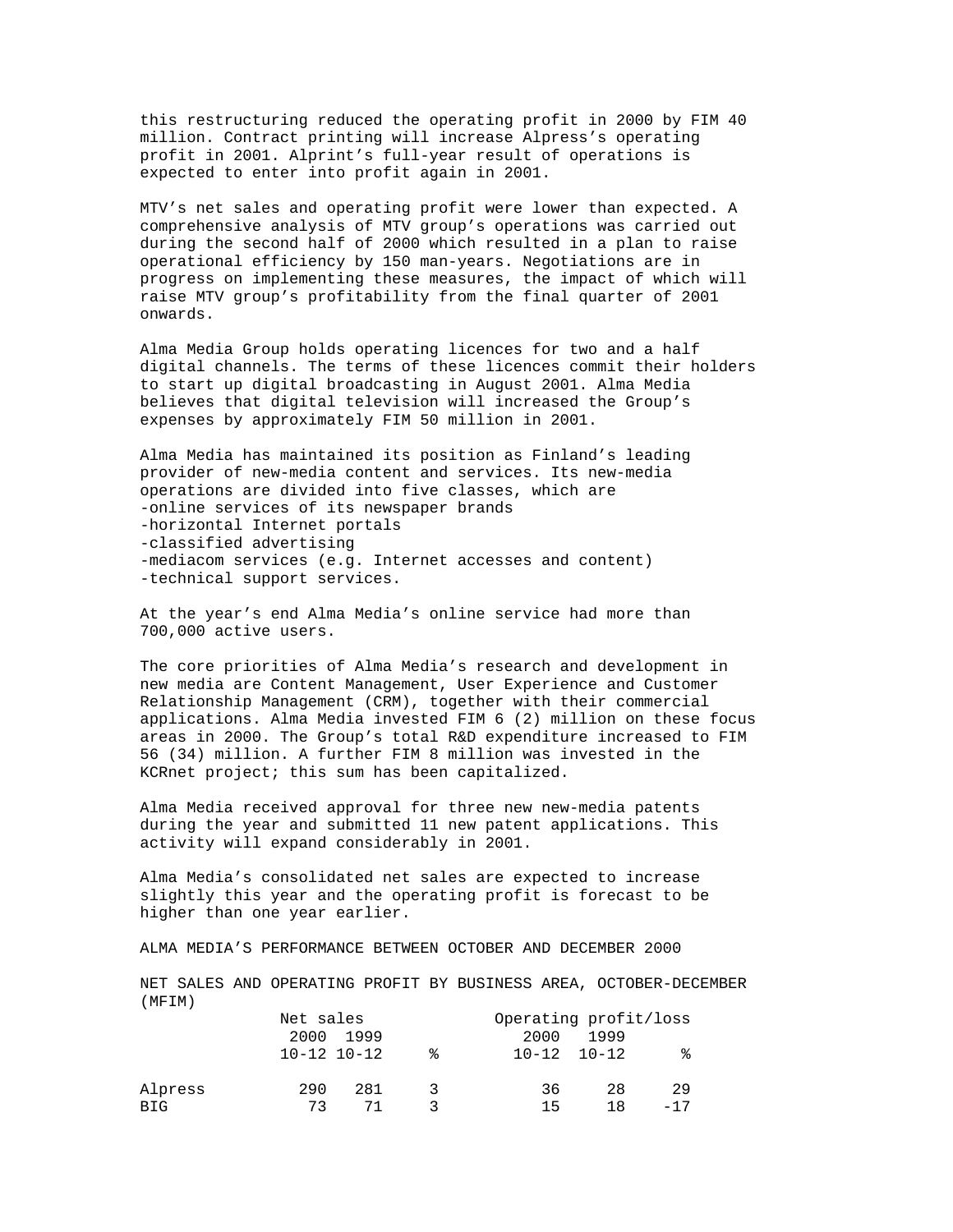this restructuring reduced the operating profit in 2000 by FIM 40 million. Contract printing will increase Alpress's operating profit in 2001. Alprint's full-year result of operations is expected to enter into profit again in 2001.

MTV's net sales and operating profit were lower than expected. A comprehensive analysis of MTV group's operations was carried out during the second half of 2000 which resulted in a plan to raise operational efficiency by 150 man-years. Negotiations are in progress on implementing these measures, the impact of which will raise MTV group's profitability from the final quarter of 2001 onwards.

Alma Media Group holds operating licences for two and a half digital channels. The terms of these licences commit their holders to start up digital broadcasting in August 2001. Alma Media believes that digital television will increased the Group's expenses by approximately FIM 50 million in 2001.

Alma Media has maintained its position as Finland's leading provider of new-media content and services. Its new-media operations are divided into five classes, which are -online services of its newspaper brands -horizontal Internet portals -classified advertising -mediacom services (e.g. Internet accesses and content) -technical support services.

At the year's end Alma Media's online service had more than 700,000 active users.

The core priorities of Alma Media's research and development in new media are Content Management, User Experience and Customer Relationship Management (CRM), together with their commercial applications. Alma Media invested FIM 6 (2) million on these focus areas in 2000. The Group's total R&D expenditure increased to FIM 56 (34) million. A further FIM 8 million was invested in the KCRnet project; this sum has been capitalized.

Alma Media received approval for three new new-media patents during the year and submitted 11 new patent applications. This activity will expand considerably in 2001.

Alma Media's consolidated net sales are expected to increase slightly this year and the operating profit is forecast to be higher than one year earlier.

ALMA MEDIA'S PERFORMANCE BETWEEN OCTOBER AND DECEMBER 2000

NET SALES AND OPERATING PROFIT BY BUSINESS AREA, OCTOBER-DECEMBER (MFIM)

|            | Net sales           |           |   | Operating profit/loss |                     |       |
|------------|---------------------|-----------|---|-----------------------|---------------------|-------|
|            |                     | 2000 1999 |   | 2000                  | 1999                |       |
|            | $10 - 12$ $10 - 12$ |           | ° |                       | $10 - 12$ $10 - 12$ | °     |
| Alpress    | 290                 | 281       |   | 36                    | 28                  | -29   |
| <b>BIG</b> | 73                  | 71        |   | 15                    | 18                  | $-17$ |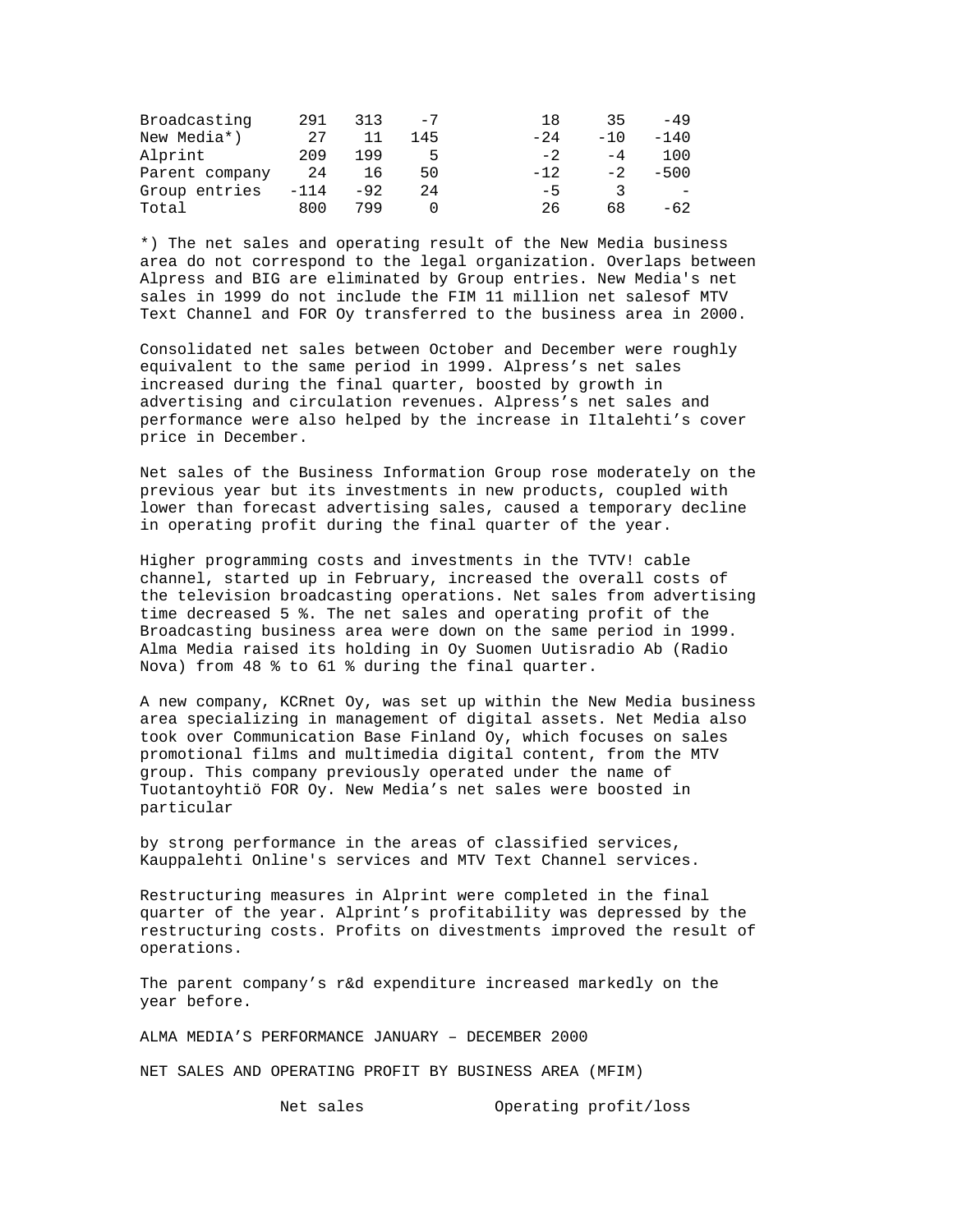| Broadcasting   | 291    | 313   | $-7$ | 18     | 35    | -49                      |
|----------------|--------|-------|------|--------|-------|--------------------------|
| New Media*)    | 27     |       | 145  | $-2.4$ | $-10$ | $-140$                   |
| Alprint        | 209    | 199   | ь    | $-2$   | $-4$  | 100                      |
| Parent company | 24     | 16    | 50   | $-12.$ | $-2$  | $-500$                   |
| Group entries  | $-114$ | $-92$ | 24   | $-5$   |       | $\overline{\phantom{a}}$ |
| Total          | 800    | 799   |      | 26     | 68    | $-62$                    |

\*) The net sales and operating result of the New Media business area do not correspond to the legal organization. Overlaps between Alpress and BIG are eliminated by Group entries. New Media's net sales in 1999 do not include the FIM 11 million net salesof MTV Text Channel and FOR Oy transferred to the business area in 2000.

Consolidated net sales between October and December were roughly equivalent to the same period in 1999. Alpress's net sales increased during the final quarter, boosted by growth in advertising and circulation revenues. Alpress's net sales and performance were also helped by the increase in Iltalehti's cover price in December.

Net sales of the Business Information Group rose moderately on the previous year but its investments in new products, coupled with lower than forecast advertising sales, caused a temporary decline in operating profit during the final quarter of the year.

Higher programming costs and investments in the TVTV! cable channel, started up in February, increased the overall costs of the television broadcasting operations. Net sales from advertising time decreased 5 %. The net sales and operating profit of the Broadcasting business area were down on the same period in 1999. Alma Media raised its holding in Oy Suomen Uutisradio Ab (Radio Nova) from 48 % to 61 % during the final quarter.

A new company, KCRnet Oy, was set up within the New Media business area specializing in management of digital assets. Net Media also took over Communication Base Finland Oy, which focuses on sales promotional films and multimedia digital content, from the MTV group. This company previously operated under the name of Tuotantoyhtiö FOR Oy. New Media's net sales were boosted in particular

by strong performance in the areas of classified services, Kauppalehti Online's services and MTV Text Channel services.

Restructuring measures in Alprint were completed in the final quarter of the year. Alprint's profitability was depressed by the restructuring costs. Profits on divestments improved the result of operations.

The parent company's r&d expenditure increased markedly on the year before.

ALMA MEDIA'S PERFORMANCE JANUARY – DECEMBER 2000

NET SALES AND OPERATING PROFIT BY BUSINESS AREA (MFIM)

Net sales Operating profit/loss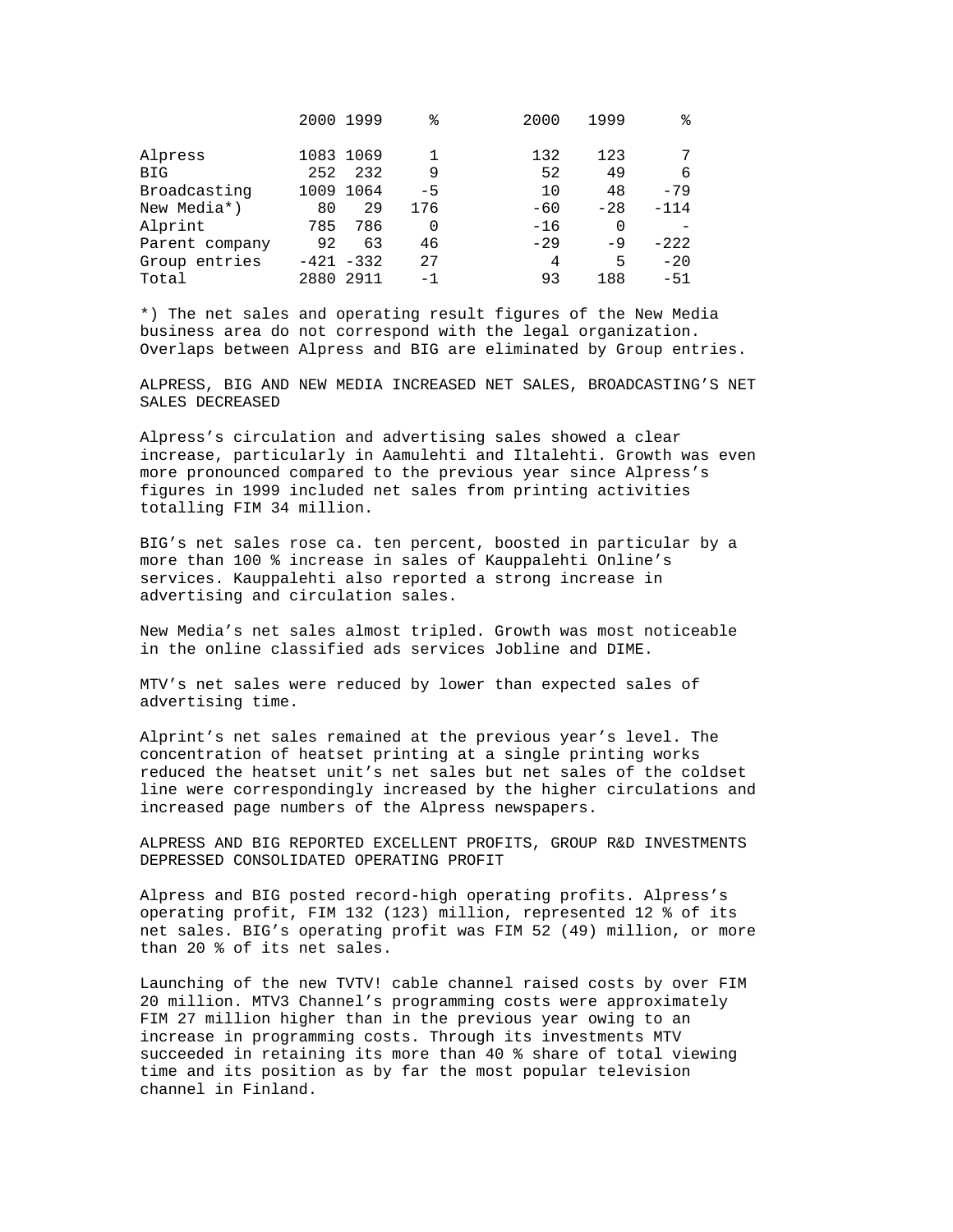|                |           | 2000 1999    | ٩,   | 2000  | 1999  | ిన     |
|----------------|-----------|--------------|------|-------|-------|--------|
| Alpress        |           | 1083 1069    |      | 132   | 123   |        |
| BIG            | 252       | 232          | 9    | 52    | 49    | 6      |
| Broadcasting   |           | 1009 1064    | $-5$ | 10    | 48    | $-79$  |
| New Media*)    | 80        | 29           | 176  | $-60$ | $-28$ | $-114$ |
| Alprint        | 785       | 786          | 0    | $-16$ | 0     |        |
| Parent company | 92        | 63           | 46   | $-29$ | $-9$  | $-222$ |
| Group entries  |           | $-421 - 332$ | 27   | 4     | 5     | $-20$  |
| Total          | 2880 2911 |              | $-1$ | 93    | 188   | $-51$  |

\*) The net sales and operating result figures of the New Media business area do not correspond with the legal organization. Overlaps between Alpress and BIG are eliminated by Group entries.

ALPRESS, BIG AND NEW MEDIA INCREASED NET SALES, BROADCASTING'S NET SALES DECREASED

Alpress's circulation and advertising sales showed a clear increase, particularly in Aamulehti and Iltalehti. Growth was even more pronounced compared to the previous year since Alpress's figures in 1999 included net sales from printing activities totalling FIM 34 million.

BIG's net sales rose ca. ten percent, boosted in particular by a more than 100 % increase in sales of Kauppalehti Online's services. Kauppalehti also reported a strong increase in advertising and circulation sales.

New Media's net sales almost tripled. Growth was most noticeable in the online classified ads services Jobline and DIME.

MTV's net sales were reduced by lower than expected sales of advertising time.

Alprint's net sales remained at the previous year's level. The concentration of heatset printing at a single printing works reduced the heatset unit's net sales but net sales of the coldset line were correspondingly increased by the higher circulations and increased page numbers of the Alpress newspapers.

ALPRESS AND BIG REPORTED EXCELLENT PROFITS, GROUP R&D INVESTMENTS DEPRESSED CONSOLIDATED OPERATING PROFIT

Alpress and BIG posted record-high operating profits. Alpress's operating profit, FIM 132 (123) million, represented 12 % of its net sales. BIG's operating profit was FIM 52 (49) million, or more than 20 % of its net sales.

Launching of the new TVTV! cable channel raised costs by over FIM 20 million. MTV3 Channel's programming costs were approximately FIM 27 million higher than in the previous year owing to an increase in programming costs. Through its investments MTV succeeded in retaining its more than 40 % share of total viewing time and its position as by far the most popular television channel in Finland.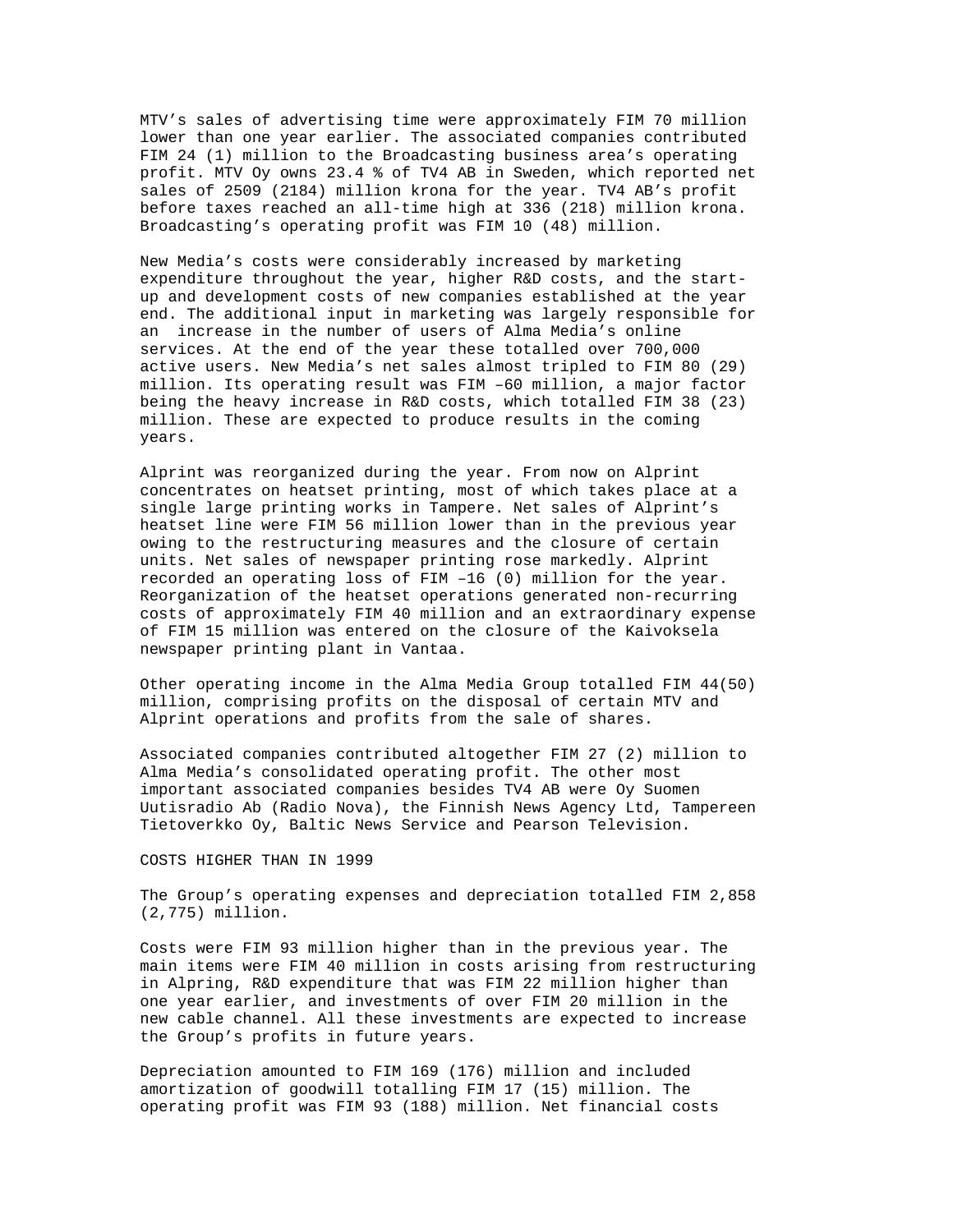MTV's sales of advertising time were approximately FIM 70 million lower than one year earlier. The associated companies contributed FIM 24 (1) million to the Broadcasting business area's operating profit. MTV Oy owns 23.4 % of TV4 AB in Sweden, which reported net sales of 2509 (2184) million krona for the year. TV4 AB's profit before taxes reached an all-time high at 336 (218) million krona. Broadcasting's operating profit was FIM 10 (48) million.

New Media's costs were considerably increased by marketing expenditure throughout the year, higher R&D costs, and the startup and development costs of new companies established at the year end. The additional input in marketing was largely responsible for an increase in the number of users of Alma Media's online services. At the end of the year these totalled over 700,000 active users. New Media's net sales almost tripled to FIM 80 (29) million. Its operating result was FIM –60 million, a major factor being the heavy increase in R&D costs, which totalled FIM 38 (23) million. These are expected to produce results in the coming years.

Alprint was reorganized during the year. From now on Alprint concentrates on heatset printing, most of which takes place at a single large printing works in Tampere. Net sales of Alprint's heatset line were FIM 56 million lower than in the previous year owing to the restructuring measures and the closure of certain units. Net sales of newspaper printing rose markedly. Alprint recorded an operating loss of FIM –16 (0) million for the year. Reorganization of the heatset operations generated non-recurring costs of approximately FIM 40 million and an extraordinary expense of FIM 15 million was entered on the closure of the Kaivoksela newspaper printing plant in Vantaa.

Other operating income in the Alma Media Group totalled FIM 44(50) million, comprising profits on the disposal of certain MTV and Alprint operations and profits from the sale of shares.

Associated companies contributed altogether FIM 27 (2) million to Alma Media's consolidated operating profit. The other most important associated companies besides TV4 AB were Oy Suomen Uutisradio Ab (Radio Nova), the Finnish News Agency Ltd, Tampereen Tietoverkko Oy, Baltic News Service and Pearson Television.

#### COSTS HIGHER THAN IN 1999

The Group's operating expenses and depreciation totalled FIM 2,858 (2,775) million.

Costs were FIM 93 million higher than in the previous year. The main items were FIM 40 million in costs arising from restructuring in Alpring, R&D expenditure that was FIM 22 million higher than one year earlier, and investments of over FIM 20 million in the new cable channel. All these investments are expected to increase the Group's profits in future years.

Depreciation amounted to FIM 169 (176) million and included amortization of goodwill totalling FIM 17 (15) million. The operating profit was FIM 93 (188) million. Net financial costs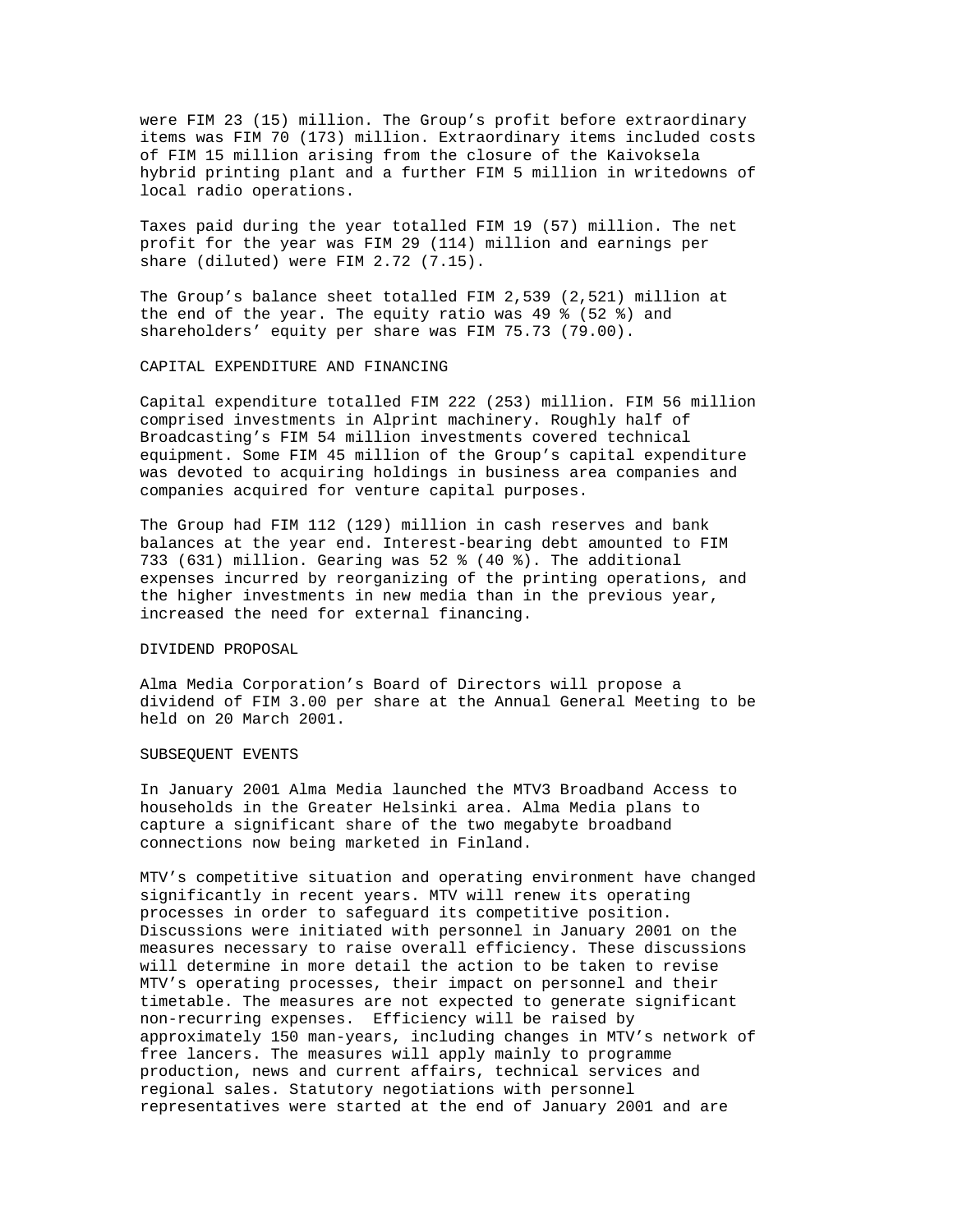were FIM 23 (15) million. The Group's profit before extraordinary items was FIM 70 (173) million. Extraordinary items included costs of FIM 15 million arising from the closure of the Kaivoksela hybrid printing plant and a further FIM 5 million in writedowns of local radio operations.

Taxes paid during the year totalled FIM 19 (57) million. The net profit for the year was FIM 29 (114) million and earnings per share (diluted) were FIM 2.72 (7.15).

The Group's balance sheet totalled FIM 2,539 (2,521) million at the end of the year. The equity ratio was 49 % (52 %) and shareholders' equity per share was FIM 75.73 (79.00).

# CAPITAL EXPENDITURE AND FINANCING

Capital expenditure totalled FIM 222 (253) million. FIM 56 million comprised investments in Alprint machinery. Roughly half of Broadcasting's FIM 54 million investments covered technical equipment. Some FIM 45 million of the Group's capital expenditure was devoted to acquiring holdings in business area companies and companies acquired for venture capital purposes.

The Group had FIM 112 (129) million in cash reserves and bank balances at the year end. Interest-bearing debt amounted to FIM 733 (631) million. Gearing was 52 % (40 %). The additional expenses incurred by reorganizing of the printing operations, and the higher investments in new media than in the previous year, increased the need for external financing.

## DIVIDEND PROPOSAL

Alma Media Corporation's Board of Directors will propose a dividend of FIM 3.00 per share at the Annual General Meeting to be held on 20 March 2001.

## SUBSEQUENT EVENTS

In January 2001 Alma Media launched the MTV3 Broadband Access to households in the Greater Helsinki area. Alma Media plans to capture a significant share of the two megabyte broadband connections now being marketed in Finland.

MTV's competitive situation and operating environment have changed significantly in recent years. MTV will renew its operating processes in order to safeguard its competitive position. Discussions were initiated with personnel in January 2001 on the measures necessary to raise overall efficiency. These discussions will determine in more detail the action to be taken to revise MTV's operating processes, their impact on personnel and their timetable. The measures are not expected to generate significant non-recurring expenses. Efficiency will be raised by approximately 150 man-years, including changes in MTV's network of free lancers. The measures will apply mainly to programme production, news and current affairs, technical services and regional sales. Statutory negotiations with personnel representatives were started at the end of January 2001 and are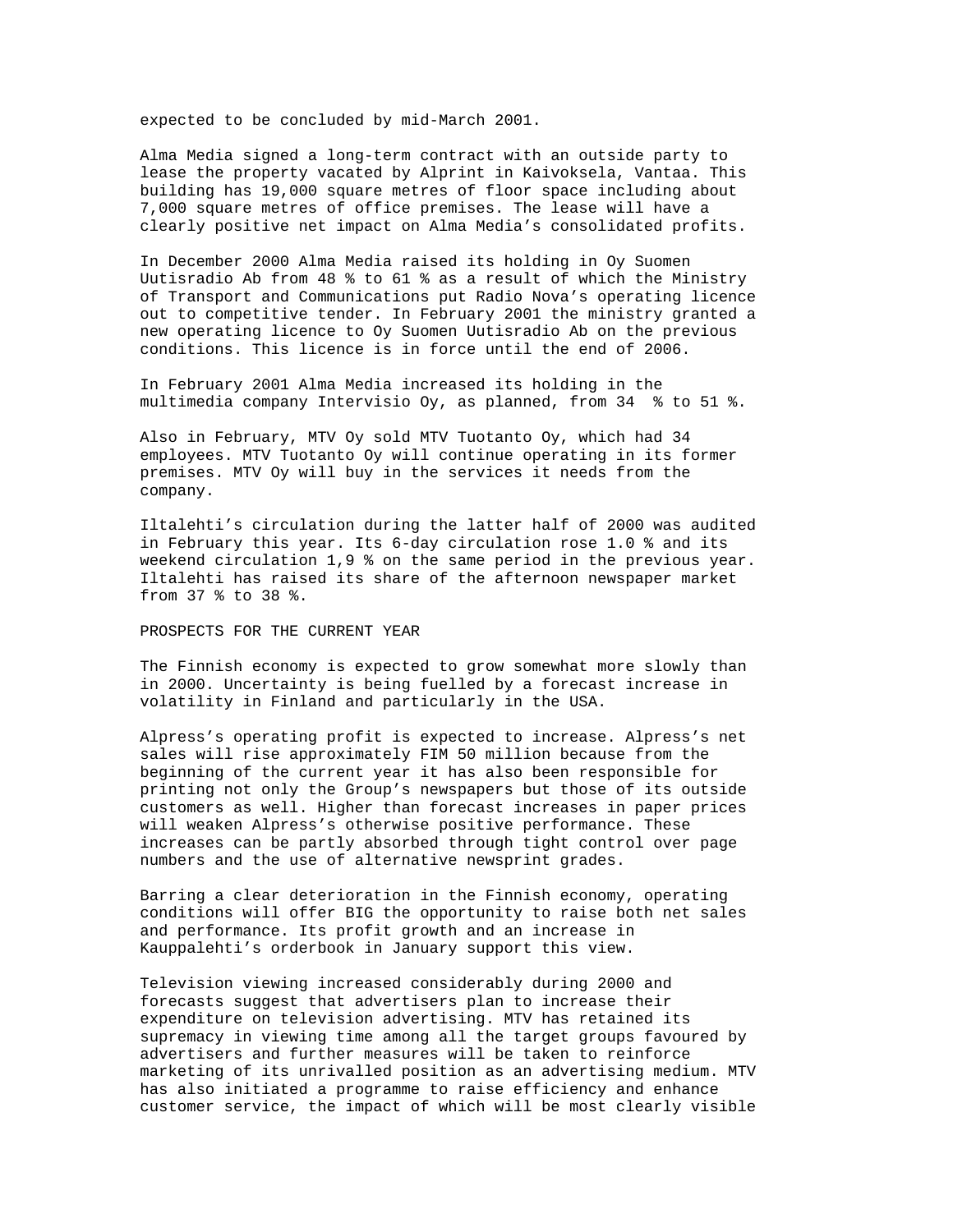expected to be concluded by mid-March 2001.

Alma Media signed a long-term contract with an outside party to lease the property vacated by Alprint in Kaivoksela, Vantaa. This building has 19,000 square metres of floor space including about 7,000 square metres of office premises. The lease will have a clearly positive net impact on Alma Media's consolidated profits.

In December 2000 Alma Media raised its holding in Oy Suomen Uutisradio Ab from 48 % to 61 % as a result of which the Ministry of Transport and Communications put Radio Nova's operating licence out to competitive tender. In February 2001 the ministry granted a new operating licence to Oy Suomen Uutisradio Ab on the previous conditions. This licence is in force until the end of 2006.

In February 2001 Alma Media increased its holding in the multimedia company Intervisio Oy, as planned, from 34 % to 51 %.

Also in February, MTV Oy sold MTV Tuotanto Oy, which had 34 employees. MTV Tuotanto Oy will continue operating in its former premises. MTV Oy will buy in the services it needs from the company.

Iltalehti's circulation during the latter half of 2000 was audited in February this year. Its 6-day circulation rose 1.0 % and its weekend circulation 1,9 % on the same period in the previous year. Iltalehti has raised its share of the afternoon newspaper market from 37 % to 38 %.

PROSPECTS FOR THE CURRENT YEAR

The Finnish economy is expected to grow somewhat more slowly than in 2000. Uncertainty is being fuelled by a forecast increase in volatility in Finland and particularly in the USA.

Alpress's operating profit is expected to increase. Alpress's net sales will rise approximately FIM 50 million because from the beginning of the current year it has also been responsible for printing not only the Group's newspapers but those of its outside customers as well. Higher than forecast increases in paper prices will weaken Alpress's otherwise positive performance. These increases can be partly absorbed through tight control over page numbers and the use of alternative newsprint grades.

Barring a clear deterioration in the Finnish economy, operating conditions will offer BIG the opportunity to raise both net sales and performance. Its profit growth and an increase in Kauppalehti's orderbook in January support this view.

Television viewing increased considerably during 2000 and forecasts suggest that advertisers plan to increase their expenditure on television advertising. MTV has retained its supremacy in viewing time among all the target groups favoured by advertisers and further measures will be taken to reinforce marketing of its unrivalled position as an advertising medium. MTV has also initiated a programme to raise efficiency and enhance customer service, the impact of which will be most clearly visible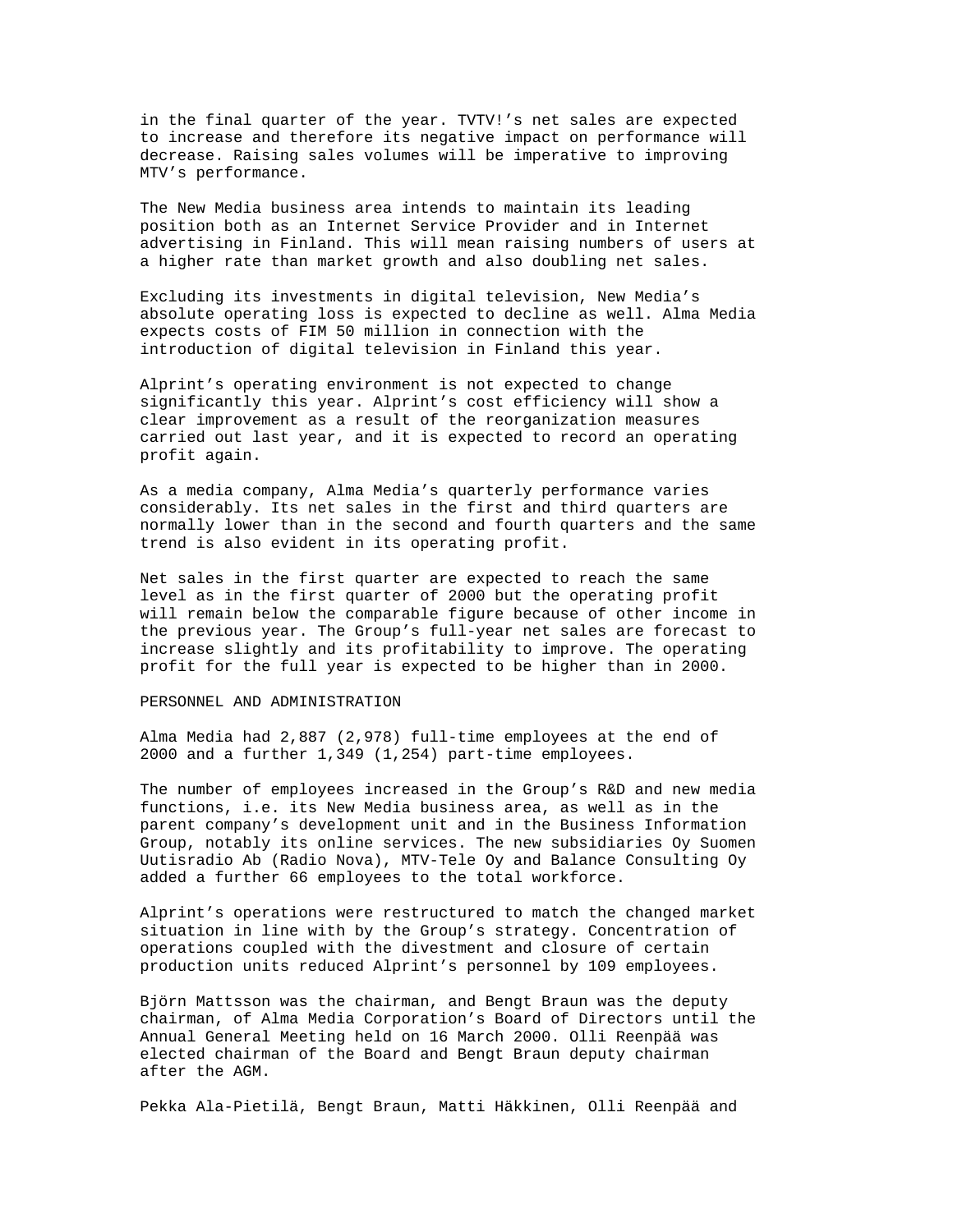in the final quarter of the year. TVTV!'s net sales are expected to increase and therefore its negative impact on performance will decrease. Raising sales volumes will be imperative to improving MTV's performance.

The New Media business area intends to maintain its leading position both as an Internet Service Provider and in Internet advertising in Finland. This will mean raising numbers of users at a higher rate than market growth and also doubling net sales.

Excluding its investments in digital television, New Media's absolute operating loss is expected to decline as well. Alma Media expects costs of FIM 50 million in connection with the introduction of digital television in Finland this year.

Alprint's operating environment is not expected to change significantly this year. Alprint's cost efficiency will show a clear improvement as a result of the reorganization measures carried out last year, and it is expected to record an operating profit again.

As a media company, Alma Media's quarterly performance varies considerably. Its net sales in the first and third quarters are normally lower than in the second and fourth quarters and the same trend is also evident in its operating profit.

Net sales in the first quarter are expected to reach the same level as in the first quarter of 2000 but the operating profit will remain below the comparable figure because of other income in the previous year. The Group's full-year net sales are forecast to increase slightly and its profitability to improve. The operating profit for the full year is expected to be higher than in 2000.

## PERSONNEL AND ADMINISTRATION

Alma Media had 2,887 (2,978) full-time employees at the end of 2000 and a further 1,349 (1,254) part-time employees.

The number of employees increased in the Group's R&D and new media functions, i.e. its New Media business area, as well as in the parent company's development unit and in the Business Information Group, notably its online services. The new subsidiaries Oy Suomen Uutisradio Ab (Radio Nova), MTV-Tele Oy and Balance Consulting Oy added a further 66 employees to the total workforce.

Alprint's operations were restructured to match the changed market situation in line with by the Group's strategy. Concentration of operations coupled with the divestment and closure of certain production units reduced Alprint's personnel by 109 employees.

Björn Mattsson was the chairman, and Bengt Braun was the deputy chairman, of Alma Media Corporation's Board of Directors until the Annual General Meeting held on 16 March 2000. Olli Reenpää was elected chairman of the Board and Bengt Braun deputy chairman after the AGM.

Pekka Ala-Pietilä, Bengt Braun, Matti Häkkinen, Olli Reenpää and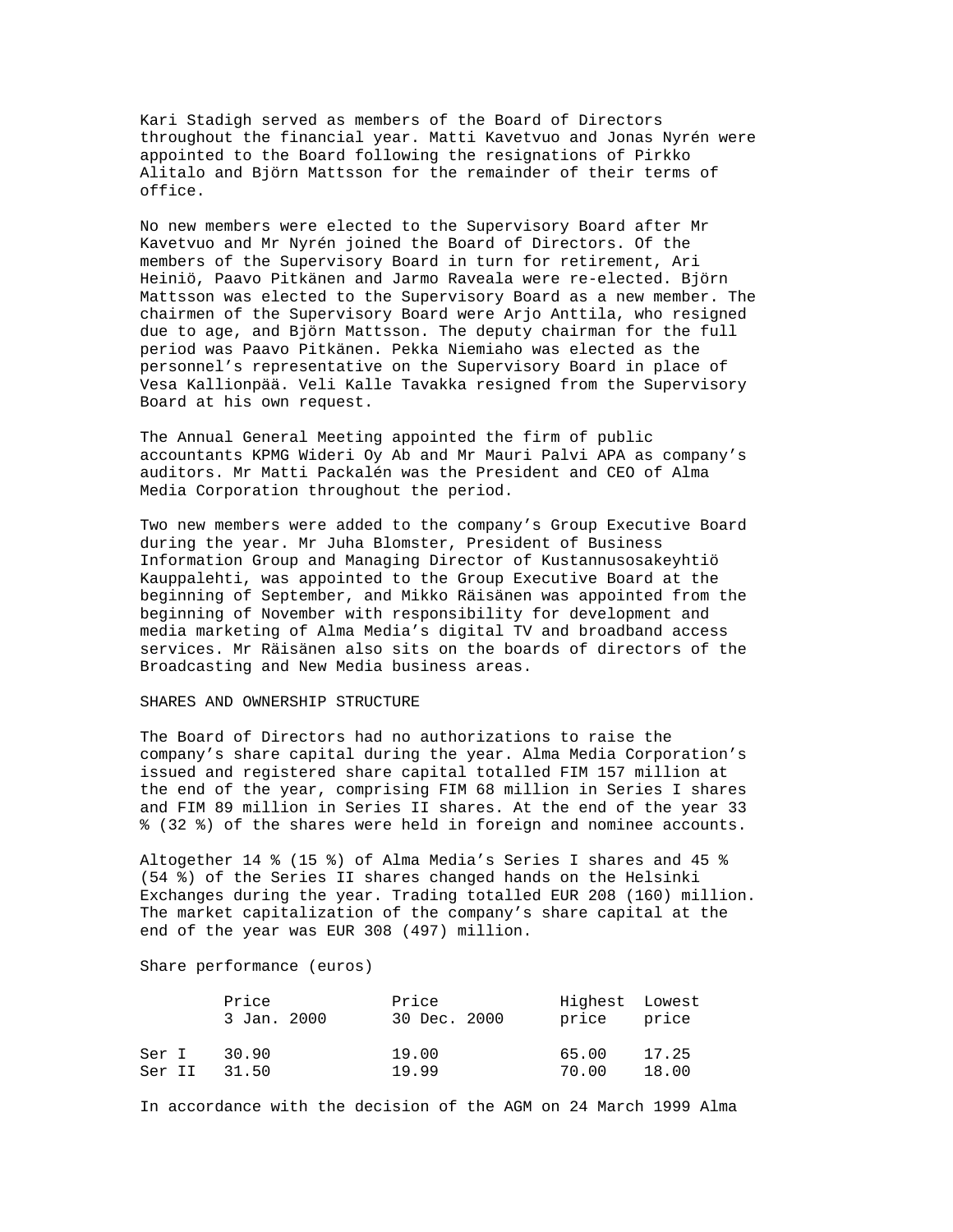Kari Stadigh served as members of the Board of Directors throughout the financial year. Matti Kavetvuo and Jonas Nyrén were appointed to the Board following the resignations of Pirkko Alitalo and Björn Mattsson for the remainder of their terms of office.

No new members were elected to the Supervisory Board after Mr Kavetvuo and Mr Nyrén joined the Board of Directors. Of the members of the Supervisory Board in turn for retirement, Ari Heiniö, Paavo Pitkänen and Jarmo Raveala were re-elected. Björn Mattsson was elected to the Supervisory Board as a new member. The chairmen of the Supervisory Board were Arjo Anttila, who resigned due to age, and Björn Mattsson. The deputy chairman for the full period was Paavo Pitkänen. Pekka Niemiaho was elected as the personnel's representative on the Supervisory Board in place of Vesa Kallionpää. Veli Kalle Tavakka resigned from the Supervisory Board at his own request.

The Annual General Meeting appointed the firm of public accountants KPMG Wideri Oy Ab and Mr Mauri Palvi APA as company's auditors. Mr Matti Packalén was the President and CEO of Alma Media Corporation throughout the period.

Two new members were added to the company's Group Executive Board during the year. Mr Juha Blomster, President of Business Information Group and Managing Director of Kustannusosakeyhtiö Kauppalehti, was appointed to the Group Executive Board at the beginning of September, and Mikko Räisänen was appointed from the beginning of November with responsibility for development and media marketing of Alma Media's digital TV and broadband access services. Mr Räisänen also sits on the boards of directors of the Broadcasting and New Media business areas.

## SHARES AND OWNERSHIP STRUCTURE

The Board of Directors had no authorizations to raise the company's share capital during the year. Alma Media Corporation's issued and registered share capital totalled FIM 157 million at the end of the year, comprising FIM 68 million in Series I shares and FIM 89 million in Series II shares. At the end of the year 33 % (32 %) of the shares were held in foreign and nominee accounts.

Altogether 14 % (15 %) of Alma Media's Series I shares and 45 % (54 %) of the Series II shares changed hands on the Helsinki Exchanges during the year. Trading totalled EUR 208 (160) million. The market capitalization of the company's share capital at the end of the year was EUR 308 (497) million.

# Share performance (euros)

|        | Price<br>3 Jan. 2000 | Price<br>30 Dec. 2000 | Highest Lowest<br>price price |       |
|--------|----------------------|-----------------------|-------------------------------|-------|
| Ser I  | 30.90                | 19.00                 | 65.00                         | 17.25 |
| Ser II | 31.50                | 19.99                 | 70.00                         | 18.00 |

In accordance with the decision of the AGM on 24 March 1999 Alma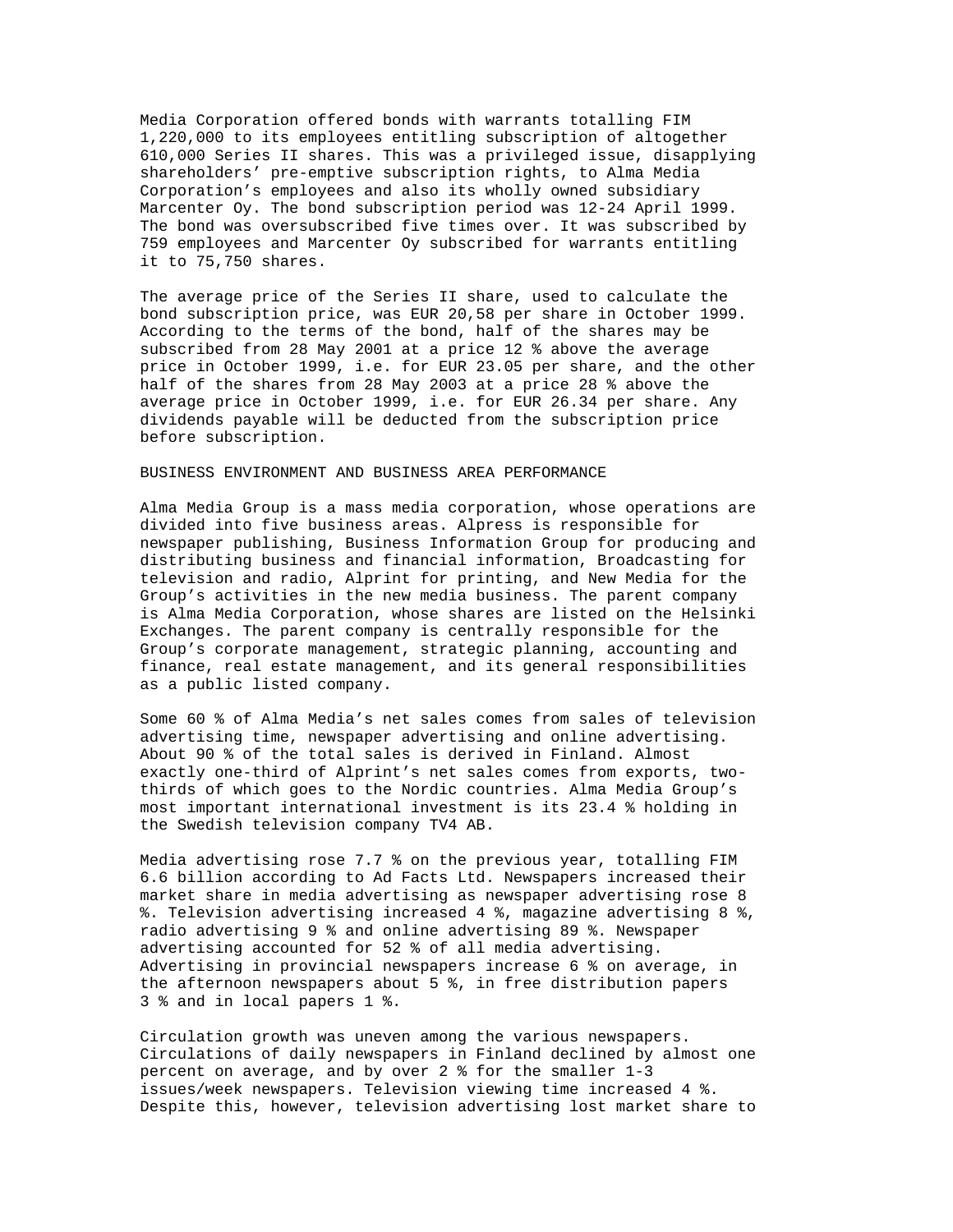Media Corporation offered bonds with warrants totalling FIM 1,220,000 to its employees entitling subscription of altogether 610,000 Series II shares. This was a privileged issue, disapplying shareholders' pre-emptive subscription rights, to Alma Media Corporation's employees and also its wholly owned subsidiary Marcenter Oy. The bond subscription period was 12-24 April 1999. The bond was oversubscribed five times over. It was subscribed by 759 employees and Marcenter Oy subscribed for warrants entitling it to 75,750 shares.

The average price of the Series II share, used to calculate the bond subscription price, was EUR 20,58 per share in October 1999. According to the terms of the bond, half of the shares may be subscribed from 28 May 2001 at a price 12 % above the average price in October 1999, i.e. for EUR 23.05 per share, and the other half of the shares from 28 May 2003 at a price 28 % above the average price in October 1999, i.e. for EUR 26.34 per share. Any dividends payable will be deducted from the subscription price before subscription.

## BUSINESS ENVIRONMENT AND BUSINESS AREA PERFORMANCE

Alma Media Group is a mass media corporation, whose operations are divided into five business areas. Alpress is responsible for newspaper publishing, Business Information Group for producing and distributing business and financial information, Broadcasting for television and radio, Alprint for printing, and New Media for the Group's activities in the new media business. The parent company is Alma Media Corporation, whose shares are listed on the Helsinki Exchanges. The parent company is centrally responsible for the Group's corporate management, strategic planning, accounting and finance, real estate management, and its general responsibilities as a public listed company.

Some 60 % of Alma Media's net sales comes from sales of television advertising time, newspaper advertising and online advertising. About 90 % of the total sales is derived in Finland. Almost exactly one-third of Alprint's net sales comes from exports, twothirds of which goes to the Nordic countries. Alma Media Group's most important international investment is its 23.4 % holding in the Swedish television company TV4 AB.

Media advertising rose 7.7 % on the previous year, totalling FIM 6.6 billion according to Ad Facts Ltd. Newspapers increased their market share in media advertising as newspaper advertising rose 8 %. Television advertising increased 4 %, magazine advertising 8 %, radio advertising 9 % and online advertising 89 %. Newspaper advertising accounted for 52 % of all media advertising. Advertising in provincial newspapers increase 6 % on average, in the afternoon newspapers about 5 %, in free distribution papers 3 % and in local papers 1 %.

Circulation growth was uneven among the various newspapers. Circulations of daily newspapers in Finland declined by almost one percent on average, and by over 2 % for the smaller 1-3 issues/week newspapers. Television viewing time increased 4 %. Despite this, however, television advertising lost market share to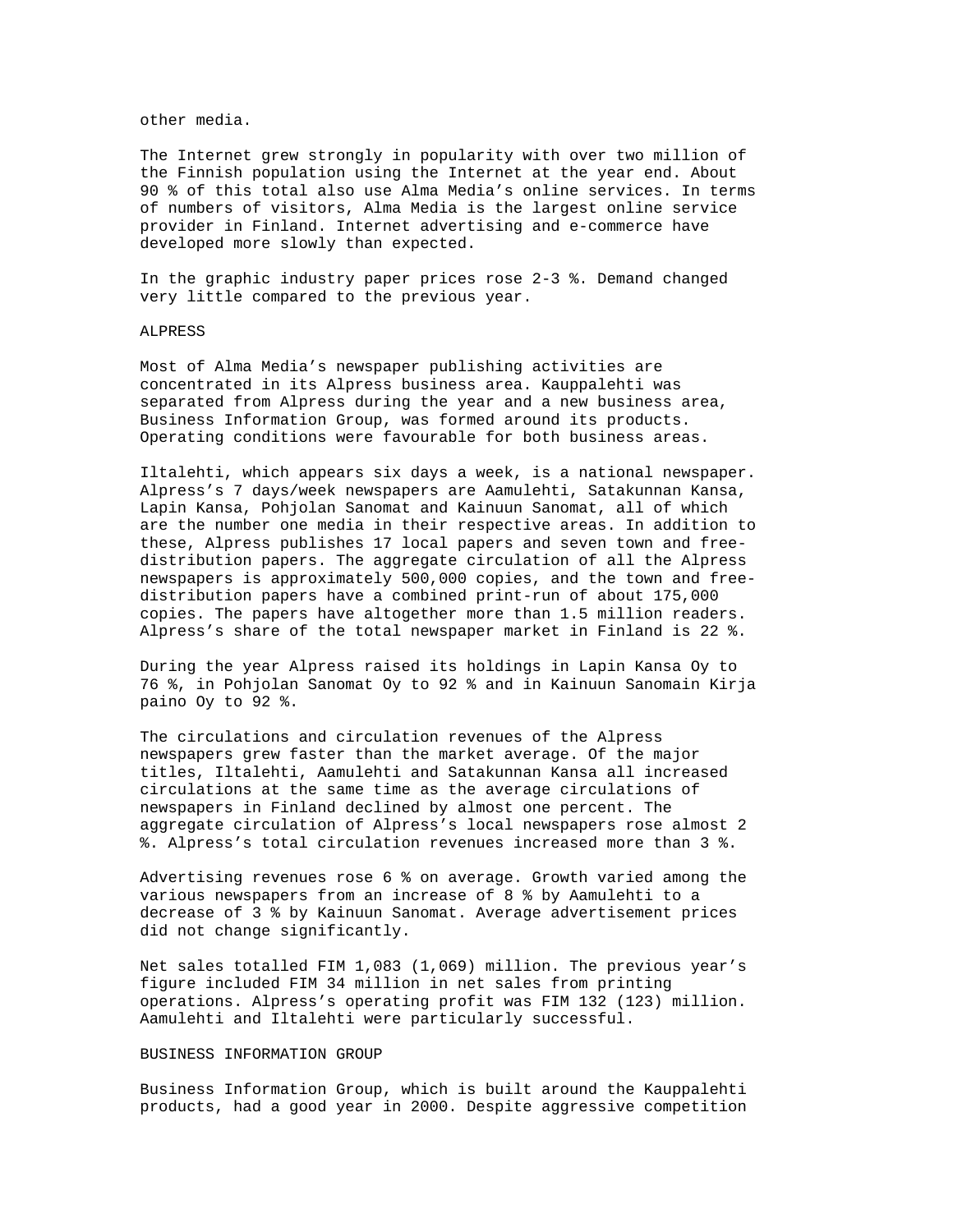## other media.

The Internet grew strongly in popularity with over two million of the Finnish population using the Internet at the year end. About 90 % of this total also use Alma Media's online services. In terms of numbers of visitors, Alma Media is the largest online service provider in Finland. Internet advertising and e-commerce have developed more slowly than expected.

In the graphic industry paper prices rose 2-3 %. Demand changed very little compared to the previous year.

### ALPRESS

Most of Alma Media's newspaper publishing activities are concentrated in its Alpress business area. Kauppalehti was separated from Alpress during the year and a new business area, Business Information Group, was formed around its products. Operating conditions were favourable for both business areas.

Iltalehti, which appears six days a week, is a national newspaper. Alpress's 7 days/week newspapers are Aamulehti, Satakunnan Kansa, Lapin Kansa, Pohjolan Sanomat and Kainuun Sanomat, all of which are the number one media in their respective areas. In addition to these, Alpress publishes 17 local papers and seven town and freedistribution papers. The aggregate circulation of all the Alpress newspapers is approximately 500,000 copies, and the town and freedistribution papers have a combined print-run of about 175,000 copies. The papers have altogether more than 1.5 million readers. Alpress's share of the total newspaper market in Finland is 22 %.

During the year Alpress raised its holdings in Lapin Kansa Oy to 76 %, in Pohjolan Sanomat Oy to 92 % and in Kainuun Sanomain Kirja paino Oy to 92 %.

The circulations and circulation revenues of the Alpress newspapers grew faster than the market average. Of the major titles, Iltalehti, Aamulehti and Satakunnan Kansa all increased circulations at the same time as the average circulations of newspapers in Finland declined by almost one percent. The aggregate circulation of Alpress's local newspapers rose almost 2 %. Alpress's total circulation revenues increased more than 3 %.

Advertising revenues rose 6 % on average. Growth varied among the various newspapers from an increase of 8 % by Aamulehti to a decrease of 3 % by Kainuun Sanomat. Average advertisement prices did not change significantly.

Net sales totalled FIM 1,083 (1,069) million. The previous year's figure included FIM 34 million in net sales from printing operations. Alpress's operating profit was FIM 132 (123) million. Aamulehti and Iltalehti were particularly successful.

#### BUSINESS INFORMATION GROUP

Business Information Group, which is built around the Kauppalehti products, had a good year in 2000. Despite aggressive competition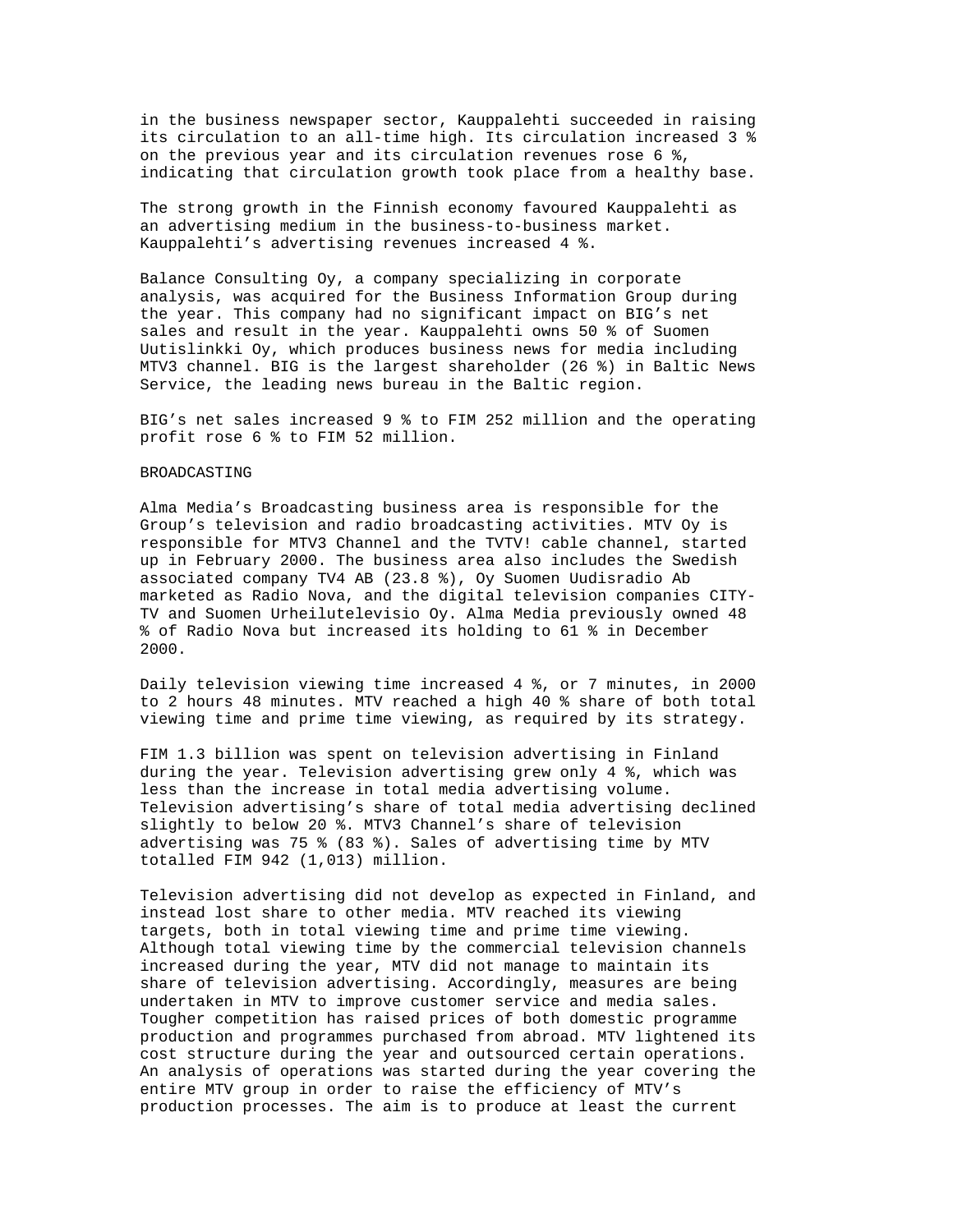in the business newspaper sector, Kauppalehti succeeded in raising its circulation to an all-time high. Its circulation increased 3 % on the previous year and its circulation revenues rose 6 %, indicating that circulation growth took place from a healthy base.

The strong growth in the Finnish economy favoured Kauppalehti as an advertising medium in the business-to-business market. Kauppalehti's advertising revenues increased 4 %.

Balance Consulting Oy, a company specializing in corporate analysis, was acquired for the Business Information Group during the year. This company had no significant impact on BIG's net sales and result in the year. Kauppalehti owns 50 % of Suomen Uutislinkki Oy, which produces business news for media including MTV3 channel. BIG is the largest shareholder (26 %) in Baltic News Service, the leading news bureau in the Baltic region.

BIG's net sales increased 9 % to FIM 252 million and the operating profit rose 6 % to FIM 52 million.

## BROADCASTING

Alma Media's Broadcasting business area is responsible for the Group's television and radio broadcasting activities. MTV Oy is responsible for MTV3 Channel and the TVTV! cable channel, started up in February 2000. The business area also includes the Swedish associated company TV4 AB (23.8 %), Oy Suomen Uudisradio Ab marketed as Radio Nova, and the digital television companies CITY-TV and Suomen Urheilutelevisio Oy. Alma Media previously owned 48 % of Radio Nova but increased its holding to 61 % in December 2000.

Daily television viewing time increased 4 %, or 7 minutes, in 2000 to 2 hours 48 minutes. MTV reached a high 40 % share of both total viewing time and prime time viewing, as required by its strategy.

FIM 1.3 billion was spent on television advertising in Finland during the year. Television advertising grew only 4 %, which was less than the increase in total media advertising volume. Television advertising's share of total media advertising declined slightly to below 20 %. MTV3 Channel's share of television advertising was 75 % (83 %). Sales of advertising time by MTV totalled FIM 942 (1,013) million.

Television advertising did not develop as expected in Finland, and instead lost share to other media. MTV reached its viewing targets, both in total viewing time and prime time viewing. Although total viewing time by the commercial television channels increased during the year, MTV did not manage to maintain its share of television advertising. Accordingly, measures are being undertaken in MTV to improve customer service and media sales. Tougher competition has raised prices of both domestic programme production and programmes purchased from abroad. MTV lightened its cost structure during the year and outsourced certain operations. An analysis of operations was started during the year covering the entire MTV group in order to raise the efficiency of MTV's production processes. The aim is to produce at least the current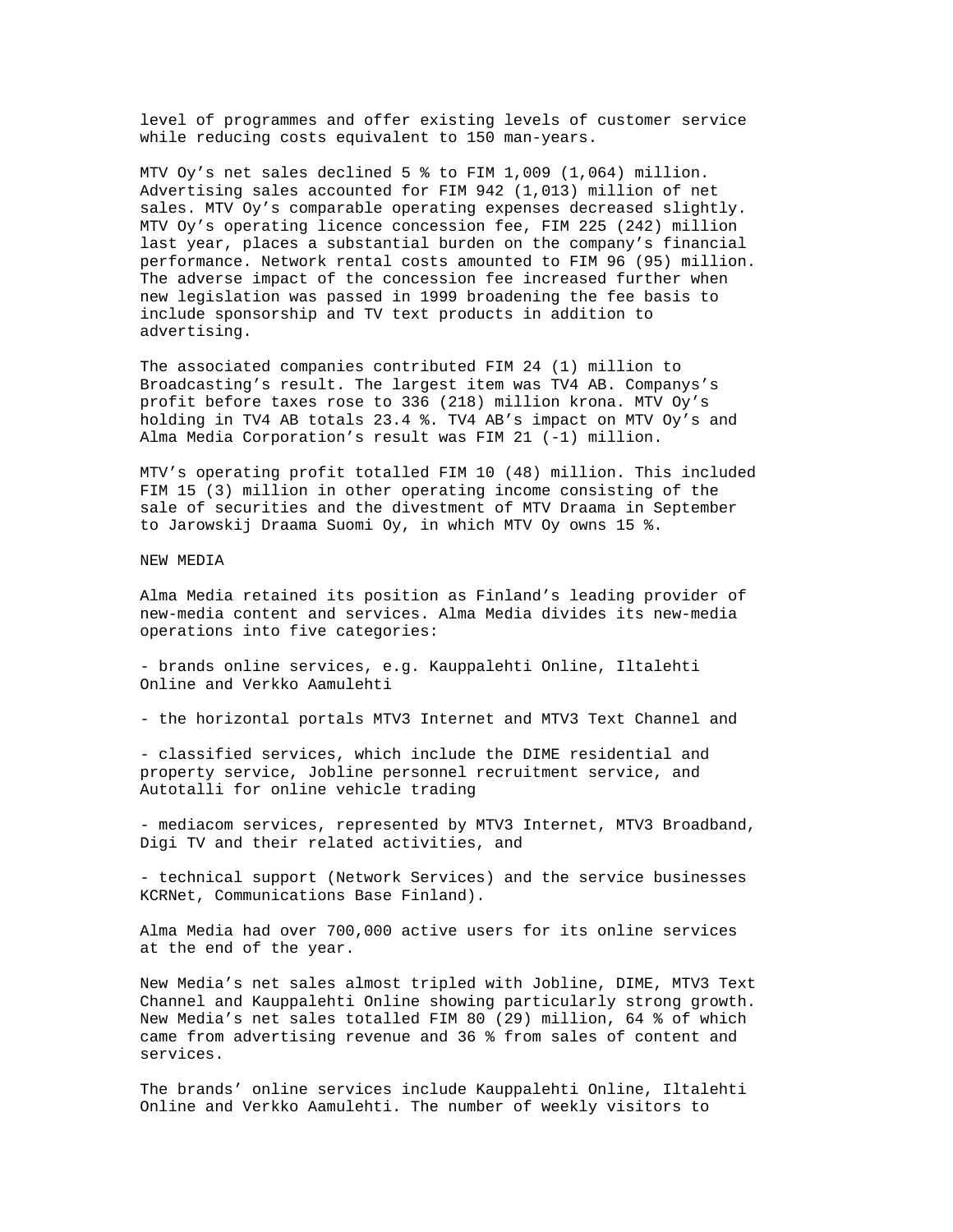level of programmes and offer existing levels of customer service while reducing costs equivalent to 150 man-years.

MTV Oy's net sales declined 5 % to FIM 1,009 (1,064) million. Advertising sales accounted for FIM 942 (1,013) million of net sales. MTV Oy's comparable operating expenses decreased slightly. MTV Oy's operating licence concession fee, FIM 225 (242) million last year, places a substantial burden on the company's financial performance. Network rental costs amounted to FIM 96 (95) million. The adverse impact of the concession fee increased further when new legislation was passed in 1999 broadening the fee basis to include sponsorship and TV text products in addition to advertising.

The associated companies contributed FIM 24 (1) million to Broadcasting's result. The largest item was TV4 AB. Companys's profit before taxes rose to 336 (218) million krona. MTV Oy's holding in TV4 AB totals 23.4 %. TV4 AB's impact on MTV Oy's and Alma Media Corporation's result was FIM 21 (-1) million.

MTV's operating profit totalled FIM 10 (48) million. This included FIM 15 (3) million in other operating income consisting of the sale of securities and the divestment of MTV Draama in September to Jarowskij Draama Suomi Oy, in which MTV Oy owns 15 %.

NEW MEDIA

Alma Media retained its position as Finland's leading provider of new-media content and services. Alma Media divides its new-media operations into five categories:

- brands online services, e.g. Kauppalehti Online, Iltalehti Online and Verkko Aamulehti

- the horizontal portals MTV3 Internet and MTV3 Text Channel and

- classified services, which include the DIME residential and property service, Jobline personnel recruitment service, and Autotalli for online vehicle trading

- mediacom services, represented by MTV3 Internet, MTV3 Broadband, Digi TV and their related activities, and

- technical support (Network Services) and the service businesses KCRNet, Communications Base Finland).

Alma Media had over 700,000 active users for its online services at the end of the year.

New Media's net sales almost tripled with Jobline, DIME, MTV3 Text Channel and Kauppalehti Online showing particularly strong growth. New Media's net sales totalled FIM 80 (29) million, 64 % of which came from advertising revenue and 36 % from sales of content and services.

The brands' online services include Kauppalehti Online, Iltalehti Online and Verkko Aamulehti. The number of weekly visitors to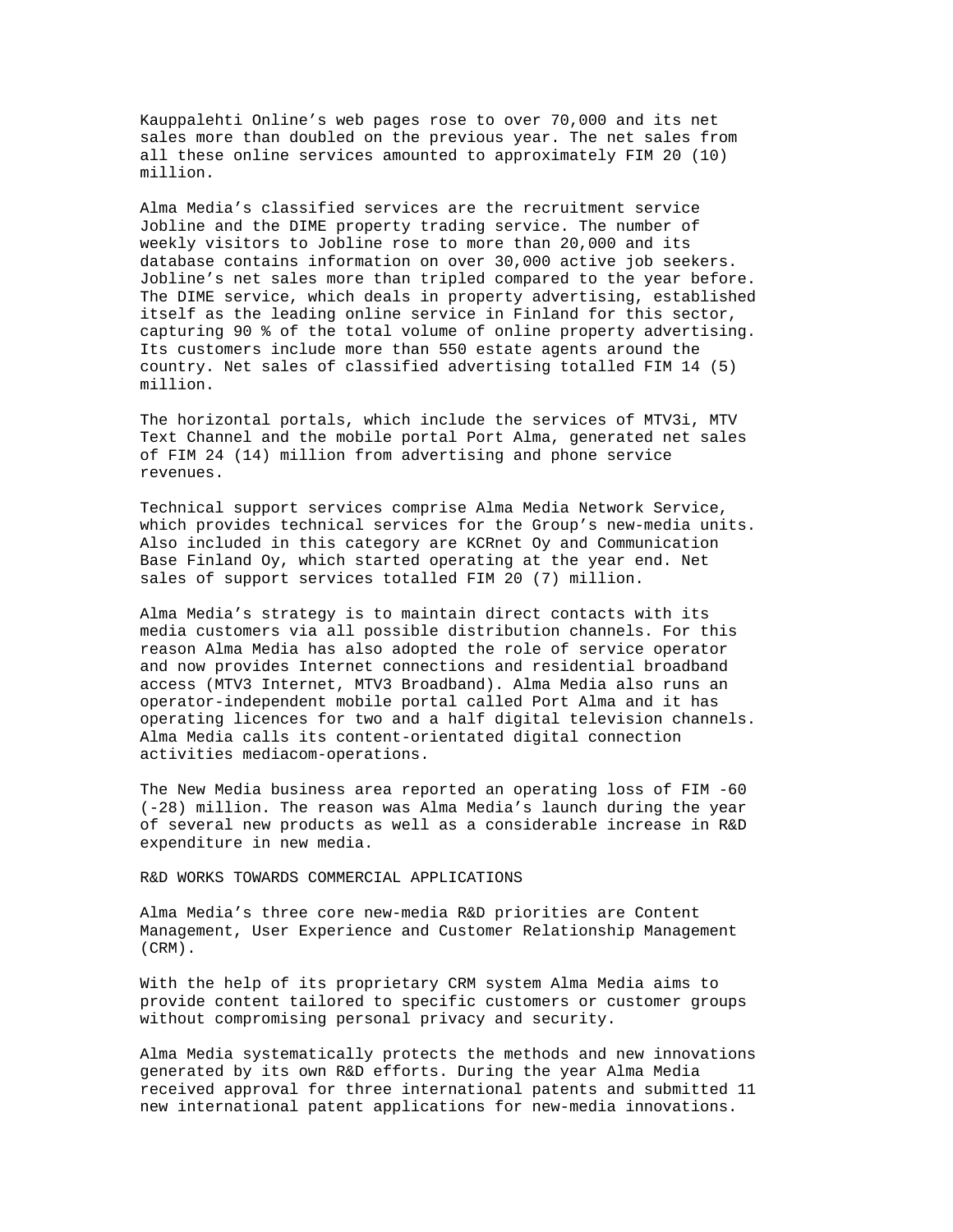Kauppalehti Online's web pages rose to over 70,000 and its net sales more than doubled on the previous year. The net sales from all these online services amounted to approximately FIM 20 (10) million.

Alma Media's classified services are the recruitment service Jobline and the DIME property trading service. The number of weekly visitors to Jobline rose to more than 20,000 and its database contains information on over 30,000 active job seekers. Jobline's net sales more than tripled compared to the year before. The DIME service, which deals in property advertising, established itself as the leading online service in Finland for this sector, capturing 90 % of the total volume of online property advertising. Its customers include more than 550 estate agents around the country. Net sales of classified advertising totalled FIM 14 (5) million.

The horizontal portals, which include the services of MTV3i, MTV Text Channel and the mobile portal Port Alma, generated net sales of FIM 24 (14) million from advertising and phone service revenues.

Technical support services comprise Alma Media Network Service, which provides technical services for the Group's new-media units. Also included in this category are KCRnet Oy and Communication Base Finland Oy, which started operating at the year end. Net sales of support services totalled FIM 20 (7) million.

Alma Media's strategy is to maintain direct contacts with its media customers via all possible distribution channels. For this reason Alma Media has also adopted the role of service operator and now provides Internet connections and residential broadband access (MTV3 Internet, MTV3 Broadband). Alma Media also runs an operator-independent mobile portal called Port Alma and it has operating licences for two and a half digital television channels. Alma Media calls its content-orientated digital connection activities mediacom-operations.

The New Media business area reported an operating loss of FIM -60 (-28) million. The reason was Alma Media's launch during the year of several new products as well as a considerable increase in R&D expenditure in new media.

R&D WORKS TOWARDS COMMERCIAL APPLICATIONS

Alma Media's three core new-media R&D priorities are Content Management, User Experience and Customer Relationship Management (CRM).

With the help of its proprietary CRM system Alma Media aims to provide content tailored to specific customers or customer groups without compromising personal privacy and security.

Alma Media systematically protects the methods and new innovations generated by its own R&D efforts. During the year Alma Media received approval for three international patents and submitted 11 new international patent applications for new-media innovations.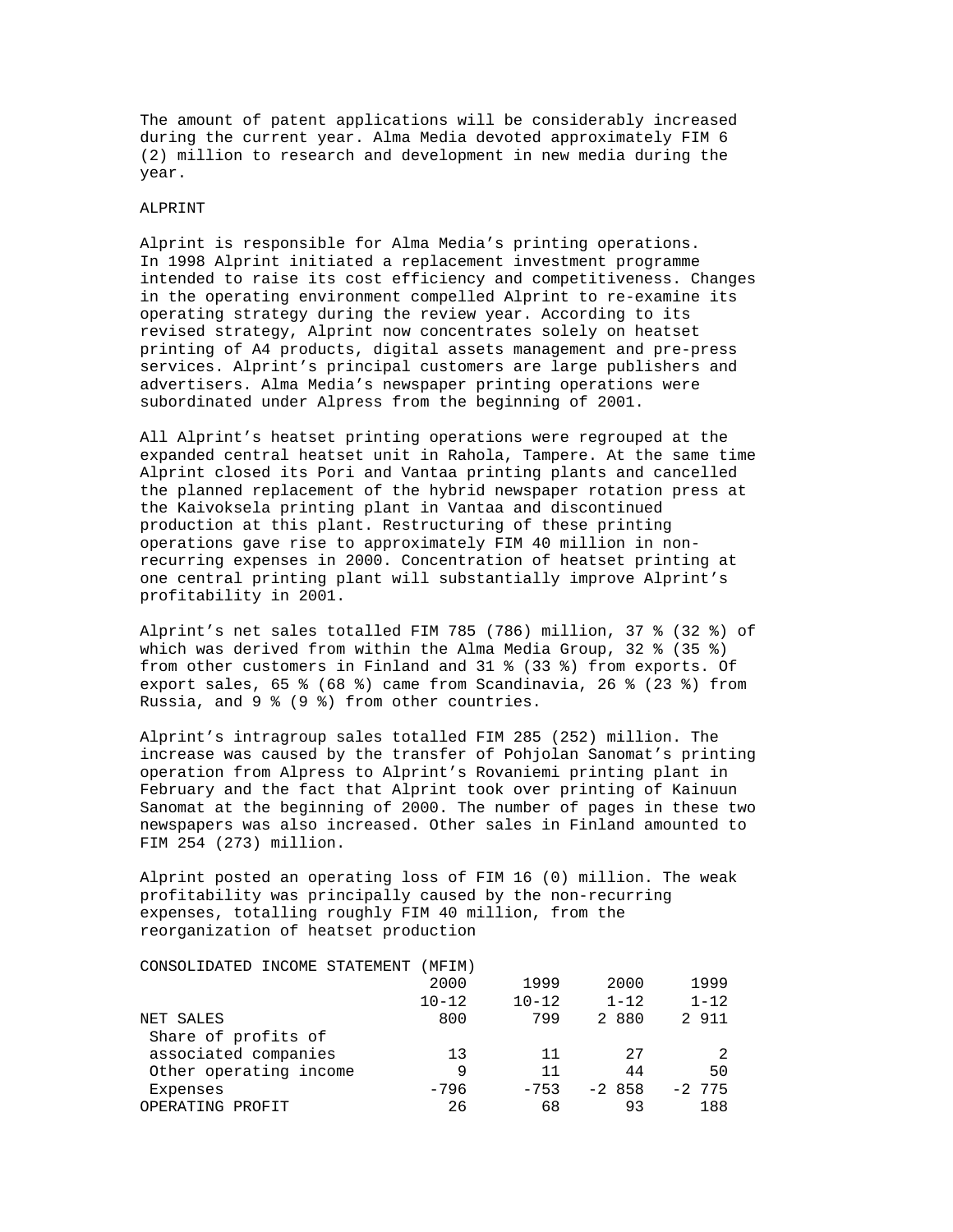The amount of patent applications will be considerably increased during the current year. Alma Media devoted approximately FIM 6 (2) million to research and development in new media during the year.

#### ALPRINT

Alprint is responsible for Alma Media's printing operations. In 1998 Alprint initiated a replacement investment programme intended to raise its cost efficiency and competitiveness. Changes in the operating environment compelled Alprint to re-examine its operating strategy during the review year. According to its revised strategy, Alprint now concentrates solely on heatset printing of A4 products, digital assets management and pre-press services. Alprint's principal customers are large publishers and advertisers. Alma Media's newspaper printing operations were subordinated under Alpress from the beginning of 2001.

All Alprint's heatset printing operations were regrouped at the expanded central heatset unit in Rahola, Tampere. At the same time Alprint closed its Pori and Vantaa printing plants and cancelled the planned replacement of the hybrid newspaper rotation press at the Kaivoksela printing plant in Vantaa and discontinued production at this plant. Restructuring of these printing operations gave rise to approximately FIM 40 million in nonrecurring expenses in 2000. Concentration of heatset printing at one central printing plant will substantially improve Alprint's profitability in 2001.

Alprint's net sales totalled FIM 785 (786) million, 37 % (32 %) of which was derived from within the Alma Media Group, 32 % (35 %) from other customers in Finland and 31 % (33 %) from exports. Of export sales, 65 % (68 %) came from Scandinavia, 26 % (23 %) from Russia, and 9 % (9 %) from other countries.

Alprint's intragroup sales totalled FIM 285 (252) million. The increase was caused by the transfer of Pohjolan Sanomat's printing operation from Alpress to Alprint's Rovaniemi printing plant in February and the fact that Alprint took over printing of Kainuun Sanomat at the beginning of 2000. The number of pages in these two newspapers was also increased. Other sales in Finland amounted to FIM 254 (273) million.

Alprint posted an operating loss of FIM 16 (0) million. The weak profitability was principally caused by the non-recurring expenses, totalling roughly FIM 40 million, from the reorganization of heatset production

| CONSOLIDATED INCOME STATEMENT | (MFIM)    |           |          |           |
|-------------------------------|-----------|-----------|----------|-----------|
|                               | 2000      | 1999      | 2000     | 1999      |
|                               | $10 - 12$ | $10 - 12$ | $1 - 12$ | $1 - 12$  |
| NET SALES                     | 800       | 799       | 2 880    | 2 911     |
| Share of profits of           |           |           |          |           |
| associated companies          | 13        | 11        | 27       |           |
| Other operating income        | 9         | 11        | 44       | 50        |
| Expenses                      | $-796$    | $-753$    | $-2858$  | $-2, 775$ |
| OPERATING PROFIT              | 26        | 68        | 93       | 188       |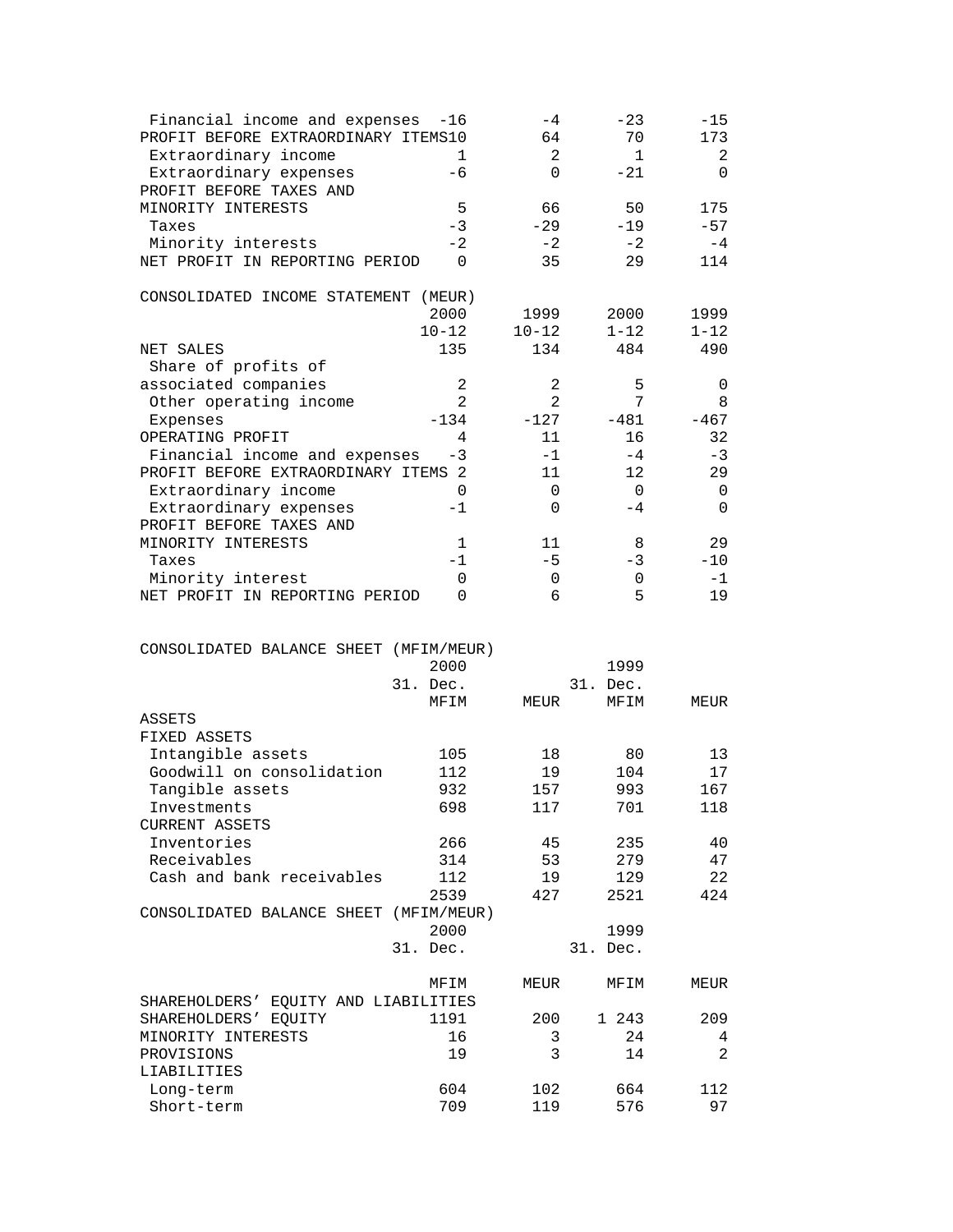| Financial income and expenses<br>PROFIT BEFORE EXTRAORDINARY ITEMS10<br>Extraordinary income<br>Extraordinary expenses | $-16$<br>$\mathbf{1}$<br>$-6$ | $-4$<br>64<br>2<br>$\Omega$ | $-23$<br>70<br>$\mathbf{1}$<br>$-21$ | $-15$<br>173<br>2<br>0 |
|------------------------------------------------------------------------------------------------------------------------|-------------------------------|-----------------------------|--------------------------------------|------------------------|
| PROFIT BEFORE TAXES AND                                                                                                | 5                             |                             |                                      | 175                    |
| MINORITY INTERESTS<br>Taxes                                                                                            | $-3$                          | 66<br>$-29$                 | 50<br>$-19$                          | $-57$                  |
| Minority interests                                                                                                     | $-2$                          | $-2$                        | $-2$                                 | $-4$                   |
| NET PROFIT IN REPORTING PERIOD                                                                                         | $\Omega$                      | 35                          | 29                                   | 114                    |
| CONSOLIDATED INCOME STATEMENT (MEUR)                                                                                   |                               |                             |                                      |                        |
|                                                                                                                        | 2000                          | 1999                        | 2000                                 | 1999                   |
|                                                                                                                        | $10 - 12$                     | $10 - 12$                   | $1 - 12$                             | $1 - 12$               |
| NET SALES                                                                                                              | 135                           | 134                         | 484                                  | 490                    |
| Share of profits of                                                                                                    |                               |                             |                                      |                        |
| associated companies                                                                                                   | $\sqrt{2}$                    | 2                           | 5                                    | 0                      |
| Other operating income                                                                                                 | 2                             | $\overline{a}$              | 7                                    | 8                      |
| Expenses                                                                                                               | $-134$<br>4                   | $-127$<br>11                | $-481$<br>16                         | $-467$                 |
| OPERATING PROFIT                                                                                                       |                               | $-1$                        | $-4$                                 | 32                     |
| Financial income and expenses<br>PROFIT BEFORE EXTRAORDINARY ITEMS 2                                                   | -3                            | 11                          | 12                                   | -3<br>29               |
| Extraordinary income                                                                                                   | 0                             | 0                           | 0                                    | 0                      |
| Extraordinary expenses                                                                                                 | $-1$                          | 0                           | $-4$                                 | $\Omega$               |
| PROFIT BEFORE TAXES AND                                                                                                |                               |                             |                                      |                        |
| MINORITY INTERESTS                                                                                                     | 1                             | 11                          | 8                                    | 29                     |
| Taxes                                                                                                                  | $-1$                          | $-5$                        | $-3$                                 | $-10$                  |
| Minority interest                                                                                                      | 0                             | 0                           | 0                                    | $-1$                   |
| NET PROFIT IN REPORTING PERIOD                                                                                         | 0                             | 6                           | 5                                    | 19                     |
|                                                                                                                        |                               |                             |                                      |                        |
| CONSOLIDATED BALANCE SHEET (MFIM/MEUR)                                                                                 | 2000<br>31. Dec.<br>MFIM      | MEUR                        | 1999<br>31. Dec.<br>MFIM             | MEUR                   |
| ASSETS                                                                                                                 |                               |                             |                                      |                        |
| FIXED ASSETS                                                                                                           |                               |                             |                                      |                        |
| Intangible assets                                                                                                      | 105                           | 18                          | 80                                   | 13                     |
| Goodwill on consolidation                                                                                              | 112                           | 19                          | 104                                  | 17                     |
| Tangible assets                                                                                                        | 932                           | 157                         | 993                                  | 167                    |
| Investments                                                                                                            | 698                           | 117                         | 701                                  | 118                    |
| <b>CURRENT ASSETS</b>                                                                                                  |                               |                             |                                      |                        |
| Inventories                                                                                                            | 266                           | 45                          | 235                                  | 40                     |
| Receivables                                                                                                            | 314                           | 53                          | 279                                  | 47                     |
| Cash and bank receivables                                                                                              | 112                           | 19                          | 129                                  | 22                     |
|                                                                                                                        | 2539                          | 427                         | 2521                                 | 424                    |
| CONSOLIDATED BALANCE SHEET (MFIM/MEUR)                                                                                 |                               |                             |                                      |                        |
|                                                                                                                        | 2000                          |                             | 1999                                 |                        |
|                                                                                                                        | 31. Dec.                      |                             | 31. Dec.                             |                        |
|                                                                                                                        | MFIM                          | MEUR                        | MFIM                                 | MEUR                   |
| SHAREHOLDERS' EQUITY AND LIABILITIES                                                                                   |                               |                             |                                      |                        |
| SHAREHOLDERS' EQUITY                                                                                                   | 1191                          | 200                         | 1 243                                | 209                    |
| MINORITY INTERESTS                                                                                                     | 16                            | 3                           | 24                                   | 4                      |
| PROVISIONS                                                                                                             | 19                            | 3                           | 14                                   | $\overline{a}$         |
| LIABILITIES                                                                                                            |                               |                             |                                      |                        |
| Long-term<br>Short-term                                                                                                | 604<br>709                    | 102<br>119                  | 664<br>576                           | 112<br>97              |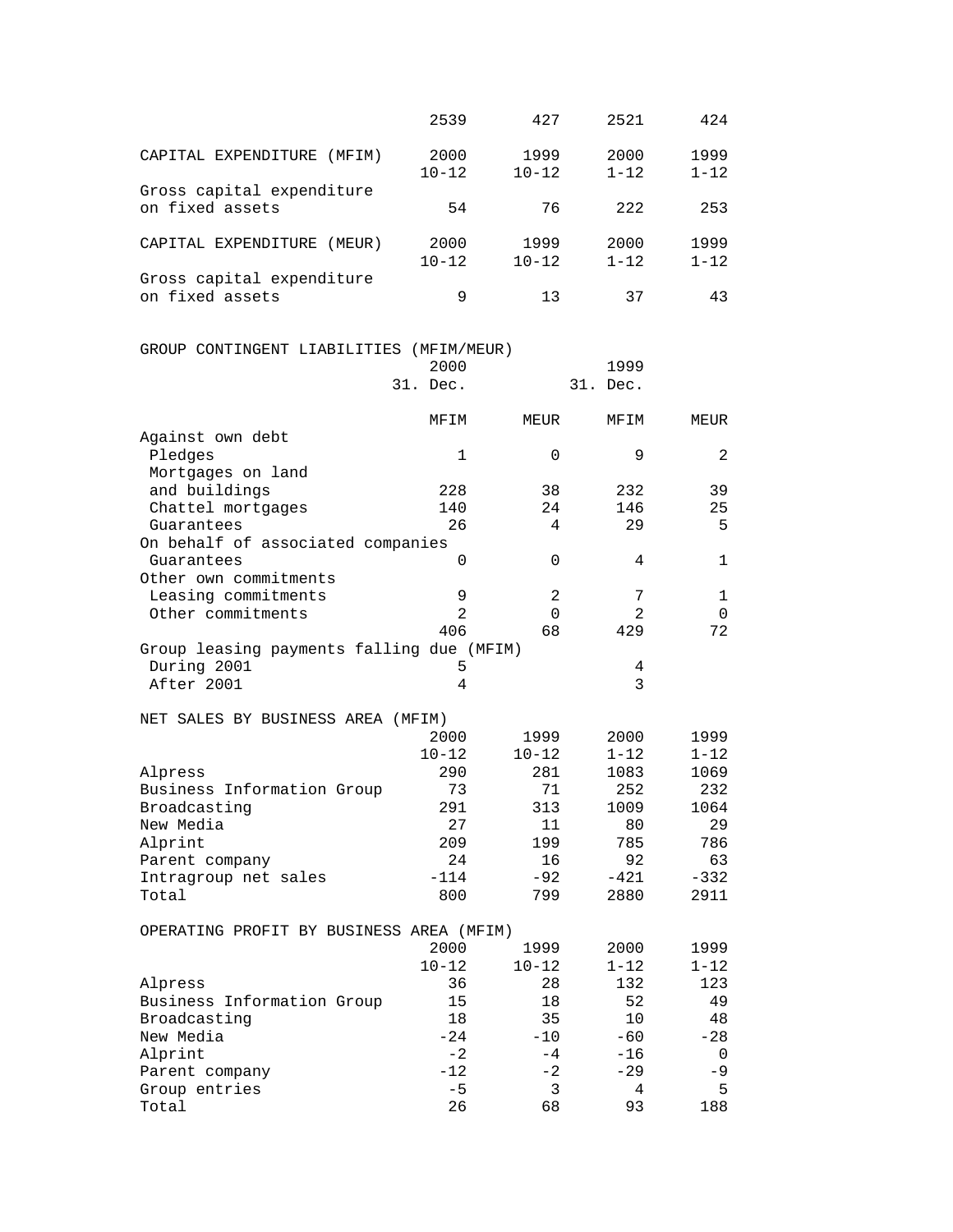|                                           | 2539           | 427            | 2521     | 424      |
|-------------------------------------------|----------------|----------------|----------|----------|
|                                           | 2000           | 1999           | 2000     | 1999     |
| CAPITAL EXPENDITURE (MFIM)                | $10 - 12$      | $10 - 12$      | $1 - 12$ | $1 - 12$ |
| Gross capital expenditure                 |                |                |          |          |
| on fixed assets                           | 54             | 76             | 222      | 253      |
| CAPITAL EXPENDITURE (MEUR)                | 2000           | 1999           | 2000     | 1999     |
|                                           | $10 - 12$      | $10 - 12$      | $1 - 12$ | $1 - 12$ |
| Gross capital expenditure                 |                |                |          |          |
| on fixed assets                           | 9              | 13             | 37       | 43       |
|                                           |                |                |          |          |
| GROUP CONTINGENT LIABILITIES (MFIM/MEUR)  |                |                |          |          |
|                                           | 2000           |                | 1999     |          |
|                                           | 31. Dec.       |                | 31. Dec. |          |
|                                           | MFIM           | MEUR           | MFIM     | MEUR     |
| Against own debt                          |                |                |          |          |
| Pledges                                   | 1              | 0              | 9        | 2        |
| Mortgages on land                         |                |                |          |          |
| and buildings                             | 228            | 38             | 232      | 39       |
| Chattel mortgages                         | 140            | 24             | 146      | 25       |
| Guarantees                                | 26             | 4              | 29       | 5        |
| On behalf of associated companies         |                |                |          |          |
| Guarantees                                | 0              | 0              | 4        | 1        |
| Other own commitments                     |                |                |          |          |
| Leasing commitments                       | 9              | $\overline{2}$ | 7        | 1        |
| Other commitments                         | $\overline{2}$ | $\Omega$       | 2        | 0        |
|                                           | 406            | 68             | 429      | 72       |
| Group leasing payments falling due (MFIM) |                |                |          |          |
| During 2001                               | 5              |                | 4        |          |
| After 2001                                | 4              |                | 3        |          |
|                                           |                |                |          |          |
| NET SALES BY BUSINESS AREA (MFIM)         |                |                |          |          |
|                                           | 2000           | 1999           | 2000     | 1999     |
|                                           | $10 - 12$      | $10 - 12$      | $1 - 12$ | $1 - 12$ |
| Alpress                                   | 290            | 281            | 1083     | 1069     |
| Business Information Group                | 73             | 71             | 252      | 232      |
| Broadcasting                              | 291            | 313            | 1009     | 1064     |
| New Media                                 | 27             | 11             | 80       | 29       |
| Alprint                                   | 209            | 199            | 785      | 786      |
| Parent company                            | 24             | 16             | 92       | 63       |
| Intragroup net sales                      | $-114$         | $-92$          | $-421$   | $-332$   |
| Total                                     | 800            | 799            | 2880     | 2911     |
|                                           |                |                |          |          |

| OPERATING PROFIT BY BUSINESS AREA (MFIM) |           |           |          |          |
|------------------------------------------|-----------|-----------|----------|----------|
|                                          | 2000      | 1999      | 2000     | 1999     |
|                                          | $10 - 12$ | $10 - 12$ | $1 - 12$ | $1 - 12$ |
| Alpress                                  | 36        | 28        | 132      | 123      |
| Business Information Group               | 15        | 18        | 52       | 49       |
| Broadcasting                             | 18        | 35        | 10       | 48       |
| New Media                                | $-24$     | $-10$     | $-60$    | $-28$    |
| Alprint                                  | $-2$      | $-4$      | $-16$    | $\Omega$ |
| Parent company                           | $-12$     | $-2$      | $-29$    | $-9$     |
| Group entries                            | $-5$      | 3         | 4        | .5       |
| Total                                    | 26        | 68        | 93       | 188      |